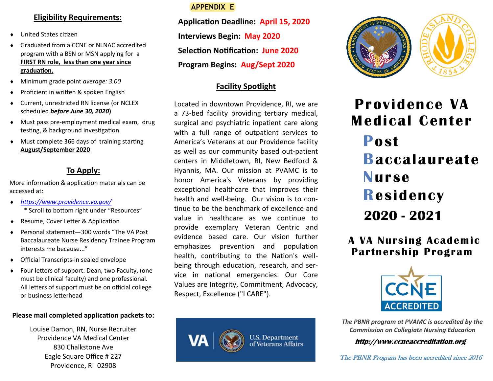## **Eligibility Requirements:**

- United States citizen
- Graduated from a CCNE or NLNAC accredited program with a BSN or MSN applying for a **FIRST RN role, less than one year since graduation.**
- Minimum grade point *average: 3.00*
- Proficient in written & spoken English
- Current, unrestricted RN license (or NCLEX scheduled *before June 30, 2020***)**
- Must pass pre-employment medical exam, drug testing, & background investigation
- Must complete 366 days of training starting **August/September 2020**

# **To Apply:**

More information & application materials can be accessed at:

- *<https://www.providence.va.gov/>* \* Scroll to bottom right under "Resources"
- ◆ Resume, Cover Letter & Application
- Personal statement—300 words "The VA Post Baccalaureate Nurse Residency Trainee Program interests me because..."
- Official Transcripts-in sealed envelope
- Four letters of support: Dean, two Faculty, (one must be clinical faculty) and one professional. All letters of support must be on official college or business letterhead

#### **Please mail completed application packets to:**

Louise Damon, RN, Nurse Recruiter Providence VA Medical Center 830 Chalkstone Ave Eagle Square Office # 227 Providence, RI 02908

# **APPENDIX E**

**Application Deadline: April 15, 2020 Interviews Begin: May 2020 Selection Notification: June 2020 Program Begins: Aug/Sept 2020**

# **Facility Spotlight**

Located in downtown Providence, RI, we are a 73-bed facility providing tertiary medical, surgical and psychiatric inpatient care along with a full range of outpatient services to America's Veterans at our Providence facility as well as our community based out-patient centers in Middletown, RI, New Bedford & Hyannis, MA. Our mission at PVAMC is to honor America's Veterans by providing exceptional healthcare that improves their health and well-being. Our vision is to continue to be the benchmark of excellence and value in healthcare as we continue to provide exemplary Veteran Centric and evidence based care. Our vision further emphasizes prevention and population health, contributing to the Nation's wellbeing through education, research, and service in national emergencies. Our Core Values are Integrity, Commitment, Advocacy, Respect, Excellence ("I CARE").





# **Providence VA Medical Center Post Baccalaureate Nurse Residency 2020 - 2021**

 **A VA Nursing Academic Partnership Program** 



*The PBNR program at PVAMC is accredited by the Commission on Collegiate Nursing Education*

**http://www.ccneaccreditation.org**

The PBNR Program has been accredited since 2016